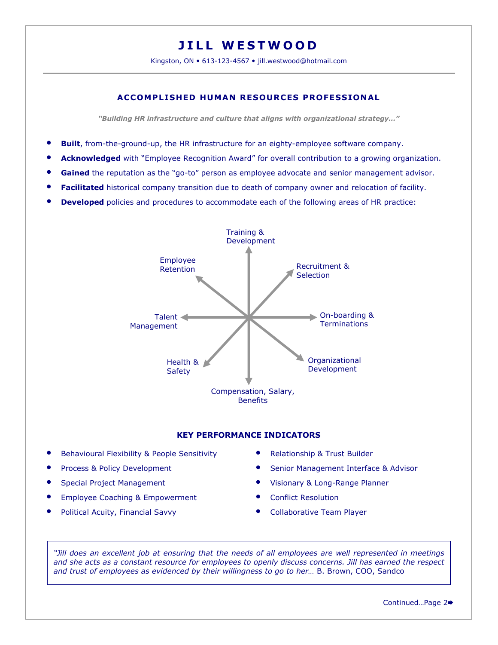# JILL WESTWOOD

Kingston, ON • 613-123-4567 • jill.westwood@hotmail.com

# ACCOMPLISHED HUMAN RESOURCES PROFESSIONAL

"Building HR infrastructure and culture that aligns with organizational strategy…"

- Built, from-the-ground-up, the HR infrastructure for an eighty-employee software company.
- Acknowledged with "Employee Recognition Award" for overall contribution to a growing organization.
- Gained the reputation as the "go-to" person as employee advocate and senior management advisor.
- Facilitated historical company transition due to death of company owner and relocation of facility.
- **Developed** policies and procedures to accommodate each of the following areas of HR practice:



# KEY PERFORMANCE INDICATORS

- Behavioural Flexibility & People Sensitivity **•• Relationship & Trust Builder**
- 
- 
- Employee Coaching & Empowerment **Conflict Resolution**
- Political Acuity, Financial Savvy **Collaborative Team Player**
- 
- Process & Policy Development **Senior Management Interface & Advisor Contains the Senior Management Interface & Advisor**
- Special Project Management **1996** Visionary & Long-Range Planner
	-
	-

"Jill does an excellent job at ensuring that the needs of all employees are well represented in meetings and she acts as a constant resource for employees to openly discuss concerns. Jill has earned the respect and trust of employees as evidenced by their willingness to go to her… B. Brown, COO, Sandco

Continued…Page 2